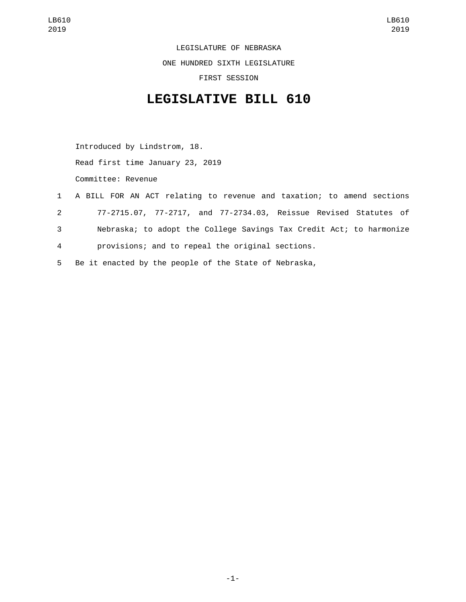LEGISLATURE OF NEBRASKA

ONE HUNDRED SIXTH LEGISLATURE

FIRST SESSION

## **LEGISLATIVE BILL 610**

Introduced by Lindstrom, 18. Read first time January 23, 2019 Committee: Revenue

- 1 A BILL FOR AN ACT relating to revenue and taxation; to amend sections 2 77-2715.07, 77-2717, and 77-2734.03, Reissue Revised Statutes of 3 Nebraska; to adopt the College Savings Tax Credit Act; to harmonize 4 provisions; and to repeal the original sections.
- 5 Be it enacted by the people of the State of Nebraska,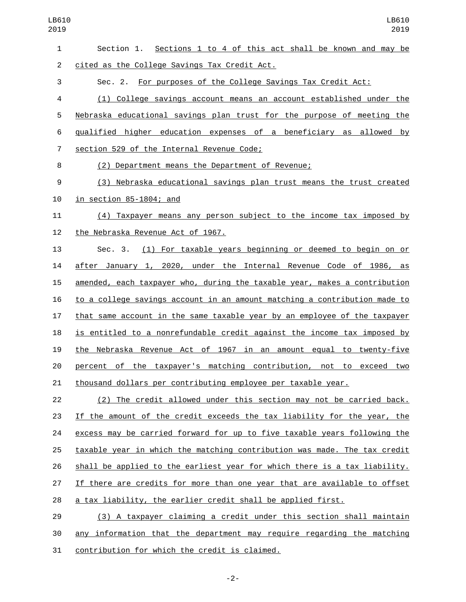| 1              | Section 1. Sections 1 to 4 of this act shall be known and may be          |
|----------------|---------------------------------------------------------------------------|
| $\overline{2}$ | cited as the College Savings Tax Credit Act.                              |
| 3              | Sec. 2. For purposes of the College Savings Tax Credit Act:               |
| 4              | (1) College savings account means an account established under the        |
| 5              | Nebraska educational savings plan trust for the purpose of meeting the    |
| 6              | gualified higher education expenses of a beneficiary as allowed by        |
| $\overline{7}$ | section 529 of the Internal Revenue Code;                                 |
| 8              | (2) Department means the Department of Revenue;                           |
| $9\,$          | (3) Nebraska educational savings plan trust means the trust created       |
| 10             | in section 85-1804; and                                                   |
| 11             | (4) Taxpayer means any person subject to the income tax imposed by        |
| 12             | the Nebraska Revenue Act of 1967.                                         |
| 13             | (1) For taxable years beginning or deemed to begin on or<br>Sec. 3.       |
| 14             | after January 1, 2020, under the Internal Revenue Code of 1986, as        |
| 15             | amended, each taxpayer who, during the taxable year, makes a contribution |
| 16             | to a college savings account in an amount matching a contribution made to |
| 17             | that same account in the same taxable year by an employee of the taxpayer |
| 18             | is entitled to a nonrefundable credit against the income tax imposed by   |
| 19             | the Nebraska Revenue Act of 1967 in an amount equal to twenty-five        |
| 20             | percent of the taxpayer's matching contribution, not to exceed two        |
| 21             | thousand dollars per contributing employee per taxable year.              |
| 22             | (2) The credit allowed under this section may not be carried back.        |
| 23             | If the amount of the credit exceeds the tax liability for the year, the   |
| 24             | excess may be carried forward for up to five taxable years following the  |
| 25             | taxable year in which the matching contribution was made. The tax credit  |
| 26             | shall be applied to the earliest year for which there is a tax liability. |
| 27             | If there are credits for more than one year that are available to offset  |
| 28             | a tax liability, the earlier credit shall be applied first.               |
| 29             | (3) A taxpayer claiming a credit under this section shall maintain        |
| $\sim$         | information that the depertment move require recognizes the matching      |

 any information that the department may require regarding the matching 31 contribution for which the credit is claimed.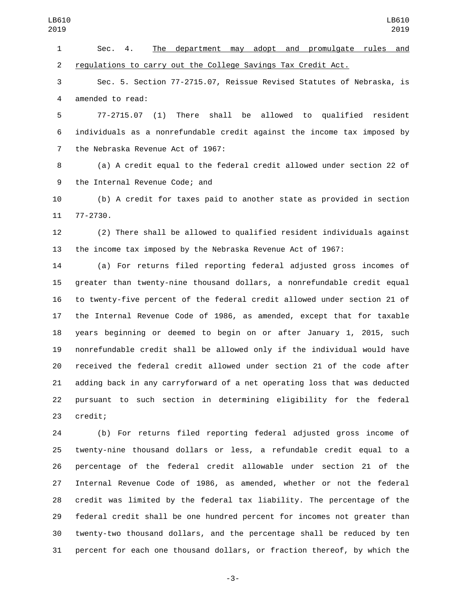Sec. 4. The department may adopt and promulgate rules and 2 regulations to carry out the College Savings Tax Credit Act. Sec. 5. Section 77-2715.07, Reissue Revised Statutes of Nebraska, is 4 amended to read: 77-2715.07 (1) There shall be allowed to qualified resident individuals as a nonrefundable credit against the income tax imposed by 7 the Nebraska Revenue Act of 1967: (a) A credit equal to the federal credit allowed under section 22 of 9 the Internal Revenue Code; and (b) A credit for taxes paid to another state as provided in section 11 77-2730. (2) There shall be allowed to qualified resident individuals against the income tax imposed by the Nebraska Revenue Act of 1967: (a) For returns filed reporting federal adjusted gross incomes of greater than twenty-nine thousand dollars, a nonrefundable credit equal to twenty-five percent of the federal credit allowed under section 21 of the Internal Revenue Code of 1986, as amended, except that for taxable years beginning or deemed to begin on or after January 1, 2015, such nonrefundable credit shall be allowed only if the individual would have received the federal credit allowed under section 21 of the code after adding back in any carryforward of a net operating loss that was deducted pursuant to such section in determining eligibility for the federal 23 credit; (b) For returns filed reporting federal adjusted gross income of twenty-nine thousand dollars or less, a refundable credit equal to a percentage of the federal credit allowable under section 21 of the Internal Revenue Code of 1986, as amended, whether or not the federal LB610 LB610 

 credit was limited by the federal tax liability. The percentage of the federal credit shall be one hundred percent for incomes not greater than twenty-two thousand dollars, and the percentage shall be reduced by ten percent for each one thousand dollars, or fraction thereof, by which the

-3-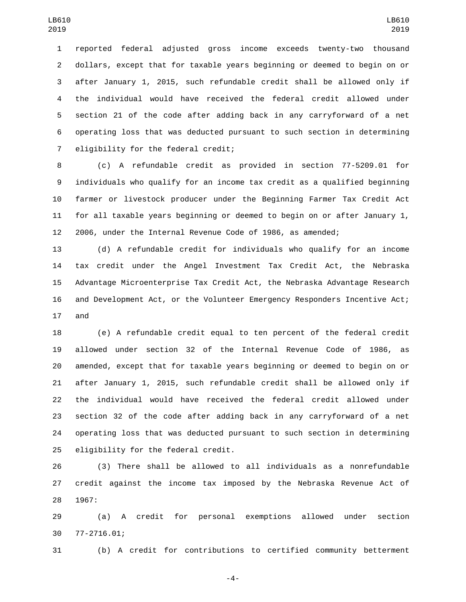reported federal adjusted gross income exceeds twenty-two thousand dollars, except that for taxable years beginning or deemed to begin on or after January 1, 2015, such refundable credit shall be allowed only if the individual would have received the federal credit allowed under section 21 of the code after adding back in any carryforward of a net operating loss that was deducted pursuant to such section in determining 7 eligibility for the federal credit;

 (c) A refundable credit as provided in section 77-5209.01 for individuals who qualify for an income tax credit as a qualified beginning farmer or livestock producer under the Beginning Farmer Tax Credit Act for all taxable years beginning or deemed to begin on or after January 1, 2006, under the Internal Revenue Code of 1986, as amended;

 (d) A refundable credit for individuals who qualify for an income tax credit under the Angel Investment Tax Credit Act, the Nebraska Advantage Microenterprise Tax Credit Act, the Nebraska Advantage Research and Development Act, or the Volunteer Emergency Responders Incentive Act; 17 and

 (e) A refundable credit equal to ten percent of the federal credit allowed under section 32 of the Internal Revenue Code of 1986, as amended, except that for taxable years beginning or deemed to begin on or after January 1, 2015, such refundable credit shall be allowed only if the individual would have received the federal credit allowed under section 32 of the code after adding back in any carryforward of a net operating loss that was deducted pursuant to such section in determining 25 eligibility for the federal credit.

 (3) There shall be allowed to all individuals as a nonrefundable credit against the income tax imposed by the Nebraska Revenue Act of 28 1967:

 (a) A credit for personal exemptions allowed under section 77-2716.01;30

(b) A credit for contributions to certified community betterment

-4-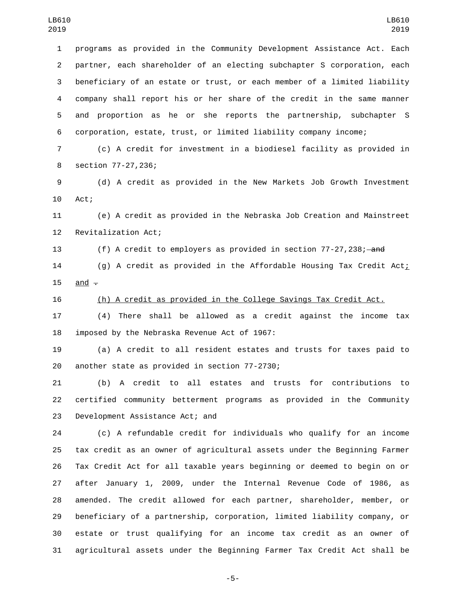programs as provided in the Community Development Assistance Act. Each partner, each shareholder of an electing subchapter S corporation, each beneficiary of an estate or trust, or each member of a limited liability company shall report his or her share of the credit in the same manner and proportion as he or she reports the partnership, subchapter S corporation, estate, trust, or limited liability company income;

 (c) A credit for investment in a biodiesel facility as provided in 8 section 77-27,236;

 (d) A credit as provided in the New Markets Job Growth Investment 10 Act;

 (e) A credit as provided in the Nebraska Job Creation and Mainstreet 12 Revitalization Act;

13 (f) A credit to employers as provided in section 77-27,238; and

14 (g) A credit as provided in the Affordable Housing Tax Credit Act; 15 and  $-$ 

(h) A credit as provided in the College Savings Tax Credit Act.

 (4) There shall be allowed as a credit against the income tax 18 imposed by the Nebraska Revenue Act of 1967:

 (a) A credit to all resident estates and trusts for taxes paid to 20 another state as provided in section 77-2730;

 (b) A credit to all estates and trusts for contributions to certified community betterment programs as provided in the Community 23 Development Assistance Act; and

 (c) A refundable credit for individuals who qualify for an income tax credit as an owner of agricultural assets under the Beginning Farmer Tax Credit Act for all taxable years beginning or deemed to begin on or after January 1, 2009, under the Internal Revenue Code of 1986, as amended. The credit allowed for each partner, shareholder, member, or beneficiary of a partnership, corporation, limited liability company, or estate or trust qualifying for an income tax credit as an owner of agricultural assets under the Beginning Farmer Tax Credit Act shall be

-5-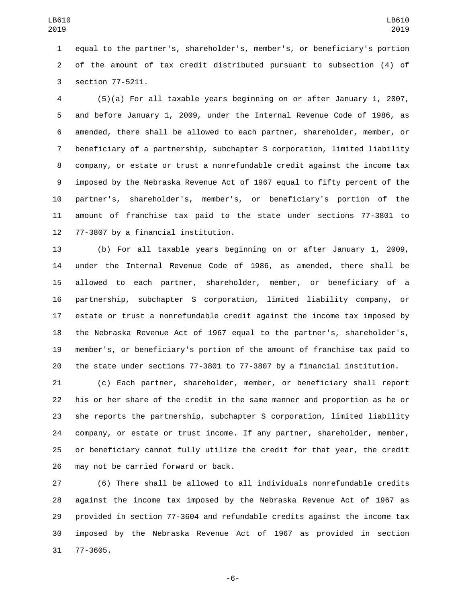equal to the partner's, shareholder's, member's, or beneficiary's portion of the amount of tax credit distributed pursuant to subsection (4) of 3 section 77-5211.

 (5)(a) For all taxable years beginning on or after January 1, 2007, and before January 1, 2009, under the Internal Revenue Code of 1986, as amended, there shall be allowed to each partner, shareholder, member, or beneficiary of a partnership, subchapter S corporation, limited liability company, or estate or trust a nonrefundable credit against the income tax imposed by the Nebraska Revenue Act of 1967 equal to fifty percent of the partner's, shareholder's, member's, or beneficiary's portion of the amount of franchise tax paid to the state under sections 77-3801 to 12 77-3807 by a financial institution.

 (b) For all taxable years beginning on or after January 1, 2009, under the Internal Revenue Code of 1986, as amended, there shall be allowed to each partner, shareholder, member, or beneficiary of a partnership, subchapter S corporation, limited liability company, or estate or trust a nonrefundable credit against the income tax imposed by the Nebraska Revenue Act of 1967 equal to the partner's, shareholder's, member's, or beneficiary's portion of the amount of franchise tax paid to the state under sections 77-3801 to 77-3807 by a financial institution.

 (c) Each partner, shareholder, member, or beneficiary shall report his or her share of the credit in the same manner and proportion as he or she reports the partnership, subchapter S corporation, limited liability company, or estate or trust income. If any partner, shareholder, member, or beneficiary cannot fully utilize the credit for that year, the credit 26 may not be carried forward or back.

 (6) There shall be allowed to all individuals nonrefundable credits against the income tax imposed by the Nebraska Revenue Act of 1967 as provided in section 77-3604 and refundable credits against the income tax imposed by the Nebraska Revenue Act of 1967 as provided in section 31 77-3605.

-6-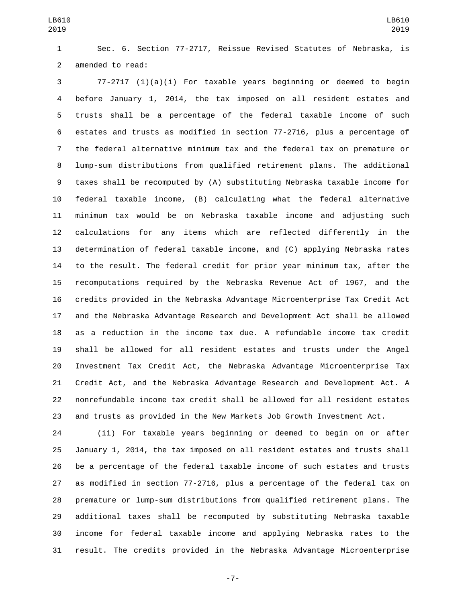Sec. 6. Section 77-2717, Reissue Revised Statutes of Nebraska, is 2 amended to read:

 77-2717 (1)(a)(i) For taxable years beginning or deemed to begin before January 1, 2014, the tax imposed on all resident estates and trusts shall be a percentage of the federal taxable income of such estates and trusts as modified in section 77-2716, plus a percentage of the federal alternative minimum tax and the federal tax on premature or lump-sum distributions from qualified retirement plans. The additional taxes shall be recomputed by (A) substituting Nebraska taxable income for federal taxable income, (B) calculating what the federal alternative minimum tax would be on Nebraska taxable income and adjusting such calculations for any items which are reflected differently in the determination of federal taxable income, and (C) applying Nebraska rates to the result. The federal credit for prior year minimum tax, after the recomputations required by the Nebraska Revenue Act of 1967, and the credits provided in the Nebraska Advantage Microenterprise Tax Credit Act and the Nebraska Advantage Research and Development Act shall be allowed as a reduction in the income tax due. A refundable income tax credit shall be allowed for all resident estates and trusts under the Angel Investment Tax Credit Act, the Nebraska Advantage Microenterprise Tax Credit Act, and the Nebraska Advantage Research and Development Act. A nonrefundable income tax credit shall be allowed for all resident estates and trusts as provided in the New Markets Job Growth Investment Act.

 (ii) For taxable years beginning or deemed to begin on or after January 1, 2014, the tax imposed on all resident estates and trusts shall be a percentage of the federal taxable income of such estates and trusts as modified in section 77-2716, plus a percentage of the federal tax on premature or lump-sum distributions from qualified retirement plans. The additional taxes shall be recomputed by substituting Nebraska taxable income for federal taxable income and applying Nebraska rates to the result. The credits provided in the Nebraska Advantage Microenterprise

-7-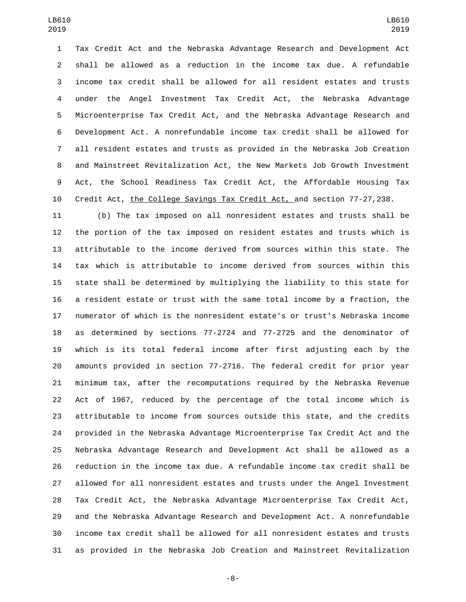Tax Credit Act and the Nebraska Advantage Research and Development Act shall be allowed as a reduction in the income tax due. A refundable income tax credit shall be allowed for all resident estates and trusts under the Angel Investment Tax Credit Act, the Nebraska Advantage Microenterprise Tax Credit Act, and the Nebraska Advantage Research and Development Act. A nonrefundable income tax credit shall be allowed for all resident estates and trusts as provided in the Nebraska Job Creation and Mainstreet Revitalization Act, the New Markets Job Growth Investment Act, the School Readiness Tax Credit Act, the Affordable Housing Tax Credit Act, the College Savings Tax Credit Act, and section 77-27,238.

 (b) The tax imposed on all nonresident estates and trusts shall be the portion of the tax imposed on resident estates and trusts which is attributable to the income derived from sources within this state. The tax which is attributable to income derived from sources within this state shall be determined by multiplying the liability to this state for a resident estate or trust with the same total income by a fraction, the numerator of which is the nonresident estate's or trust's Nebraska income as determined by sections 77-2724 and 77-2725 and the denominator of which is its total federal income after first adjusting each by the amounts provided in section 77-2716. The federal credit for prior year minimum tax, after the recomputations required by the Nebraska Revenue Act of 1967, reduced by the percentage of the total income which is attributable to income from sources outside this state, and the credits provided in the Nebraska Advantage Microenterprise Tax Credit Act and the Nebraska Advantage Research and Development Act shall be allowed as a reduction in the income tax due. A refundable income tax credit shall be allowed for all nonresident estates and trusts under the Angel Investment Tax Credit Act, the Nebraska Advantage Microenterprise Tax Credit Act, and the Nebraska Advantage Research and Development Act. A nonrefundable income tax credit shall be allowed for all nonresident estates and trusts as provided in the Nebraska Job Creation and Mainstreet Revitalization

-8-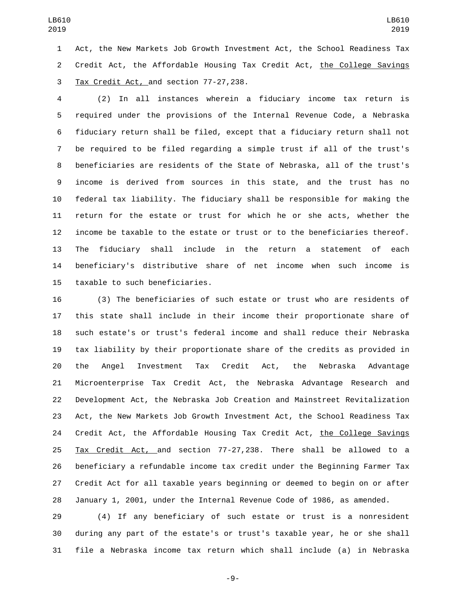Act, the New Markets Job Growth Investment Act, the School Readiness Tax 2 Credit Act, the Affordable Housing Tax Credit Act, the College Savings Tax Credit Act, and section 77-27,238.

 (2) In all instances wherein a fiduciary income tax return is required under the provisions of the Internal Revenue Code, a Nebraska fiduciary return shall be filed, except that a fiduciary return shall not be required to be filed regarding a simple trust if all of the trust's beneficiaries are residents of the State of Nebraska, all of the trust's income is derived from sources in this state, and the trust has no federal tax liability. The fiduciary shall be responsible for making the return for the estate or trust for which he or she acts, whether the income be taxable to the estate or trust or to the beneficiaries thereof. The fiduciary shall include in the return a statement of each beneficiary's distributive share of net income when such income is 15 taxable to such beneficiaries.

 (3) The beneficiaries of such estate or trust who are residents of this state shall include in their income their proportionate share of such estate's or trust's federal income and shall reduce their Nebraska tax liability by their proportionate share of the credits as provided in the Angel Investment Tax Credit Act, the Nebraska Advantage Microenterprise Tax Credit Act, the Nebraska Advantage Research and Development Act, the Nebraska Job Creation and Mainstreet Revitalization Act, the New Markets Job Growth Investment Act, the School Readiness Tax 24 Credit Act, the Affordable Housing Tax Credit Act, the College Savings Tax Credit Act, and section 77-27,238. There shall be allowed to a beneficiary a refundable income tax credit under the Beginning Farmer Tax Credit Act for all taxable years beginning or deemed to begin on or after January 1, 2001, under the Internal Revenue Code of 1986, as amended.

 (4) If any beneficiary of such estate or trust is a nonresident during any part of the estate's or trust's taxable year, he or she shall file a Nebraska income tax return which shall include (a) in Nebraska

-9-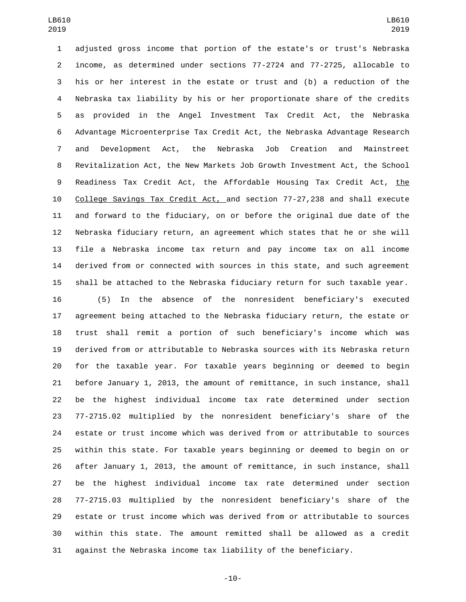adjusted gross income that portion of the estate's or trust's Nebraska income, as determined under sections 77-2724 and 77-2725, allocable to his or her interest in the estate or trust and (b) a reduction of the Nebraska tax liability by his or her proportionate share of the credits as provided in the Angel Investment Tax Credit Act, the Nebraska Advantage Microenterprise Tax Credit Act, the Nebraska Advantage Research and Development Act, the Nebraska Job Creation and Mainstreet Revitalization Act, the New Markets Job Growth Investment Act, the School Readiness Tax Credit Act, the Affordable Housing Tax Credit Act, the College Savings Tax Credit Act, and section 77-27,238 and shall execute and forward to the fiduciary, on or before the original due date of the Nebraska fiduciary return, an agreement which states that he or she will file a Nebraska income tax return and pay income tax on all income derived from or connected with sources in this state, and such agreement shall be attached to the Nebraska fiduciary return for such taxable year.

 (5) In the absence of the nonresident beneficiary's executed agreement being attached to the Nebraska fiduciary return, the estate or trust shall remit a portion of such beneficiary's income which was derived from or attributable to Nebraska sources with its Nebraska return for the taxable year. For taxable years beginning or deemed to begin before January 1, 2013, the amount of remittance, in such instance, shall be the highest individual income tax rate determined under section 77-2715.02 multiplied by the nonresident beneficiary's share of the estate or trust income which was derived from or attributable to sources within this state. For taxable years beginning or deemed to begin on or after January 1, 2013, the amount of remittance, in such instance, shall be the highest individual income tax rate determined under section 77-2715.03 multiplied by the nonresident beneficiary's share of the estate or trust income which was derived from or attributable to sources within this state. The amount remitted shall be allowed as a credit against the Nebraska income tax liability of the beneficiary.

-10-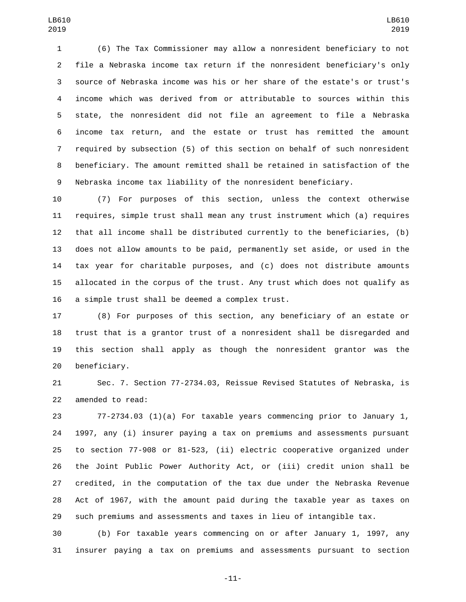(6) The Tax Commissioner may allow a nonresident beneficiary to not file a Nebraska income tax return if the nonresident beneficiary's only source of Nebraska income was his or her share of the estate's or trust's income which was derived from or attributable to sources within this state, the nonresident did not file an agreement to file a Nebraska income tax return, and the estate or trust has remitted the amount required by subsection (5) of this section on behalf of such nonresident beneficiary. The amount remitted shall be retained in satisfaction of the Nebraska income tax liability of the nonresident beneficiary.

 (7) For purposes of this section, unless the context otherwise requires, simple trust shall mean any trust instrument which (a) requires that all income shall be distributed currently to the beneficiaries, (b) does not allow amounts to be paid, permanently set aside, or used in the tax year for charitable purposes, and (c) does not distribute amounts allocated in the corpus of the trust. Any trust which does not qualify as 16 a simple trust shall be deemed a complex trust.

 (8) For purposes of this section, any beneficiary of an estate or trust that is a grantor trust of a nonresident shall be disregarded and this section shall apply as though the nonresident grantor was the 20 beneficiary.

 Sec. 7. Section 77-2734.03, Reissue Revised Statutes of Nebraska, is 22 amended to read:

 77-2734.03 (1)(a) For taxable years commencing prior to January 1, 1997, any (i) insurer paying a tax on premiums and assessments pursuant to section 77-908 or 81-523, (ii) electric cooperative organized under the Joint Public Power Authority Act, or (iii) credit union shall be credited, in the computation of the tax due under the Nebraska Revenue Act of 1967, with the amount paid during the taxable year as taxes on such premiums and assessments and taxes in lieu of intangible tax.

 (b) For taxable years commencing on or after January 1, 1997, any insurer paying a tax on premiums and assessments pursuant to section

-11-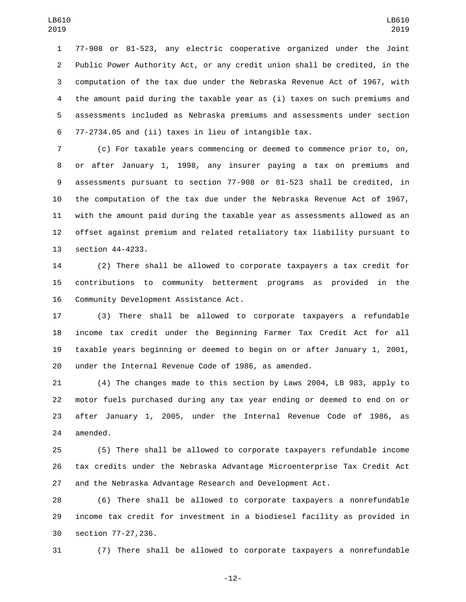77-908 or 81-523, any electric cooperative organized under the Joint Public Power Authority Act, or any credit union shall be credited, in the computation of the tax due under the Nebraska Revenue Act of 1967, with the amount paid during the taxable year as (i) taxes on such premiums and assessments included as Nebraska premiums and assessments under section 77-2734.05 and (ii) taxes in lieu of intangible tax.

 (c) For taxable years commencing or deemed to commence prior to, on, or after January 1, 1998, any insurer paying a tax on premiums and assessments pursuant to section 77-908 or 81-523 shall be credited, in the computation of the tax due under the Nebraska Revenue Act of 1967, with the amount paid during the taxable year as assessments allowed as an offset against premium and related retaliatory tax liability pursuant to 13 section 44-4233.

 (2) There shall be allowed to corporate taxpayers a tax credit for contributions to community betterment programs as provided in the 16 Community Development Assistance Act.

 (3) There shall be allowed to corporate taxpayers a refundable income tax credit under the Beginning Farmer Tax Credit Act for all taxable years beginning or deemed to begin on or after January 1, 2001, under the Internal Revenue Code of 1986, as amended.

 (4) The changes made to this section by Laws 2004, LB 983, apply to motor fuels purchased during any tax year ending or deemed to end on or after January 1, 2005, under the Internal Revenue Code of 1986, as 24 amended.

 (5) There shall be allowed to corporate taxpayers refundable income tax credits under the Nebraska Advantage Microenterprise Tax Credit Act and the Nebraska Advantage Research and Development Act.

 (6) There shall be allowed to corporate taxpayers a nonrefundable income tax credit for investment in a biodiesel facility as provided in 30 section 77-27,236.

(7) There shall be allowed to corporate taxpayers a nonrefundable

-12-